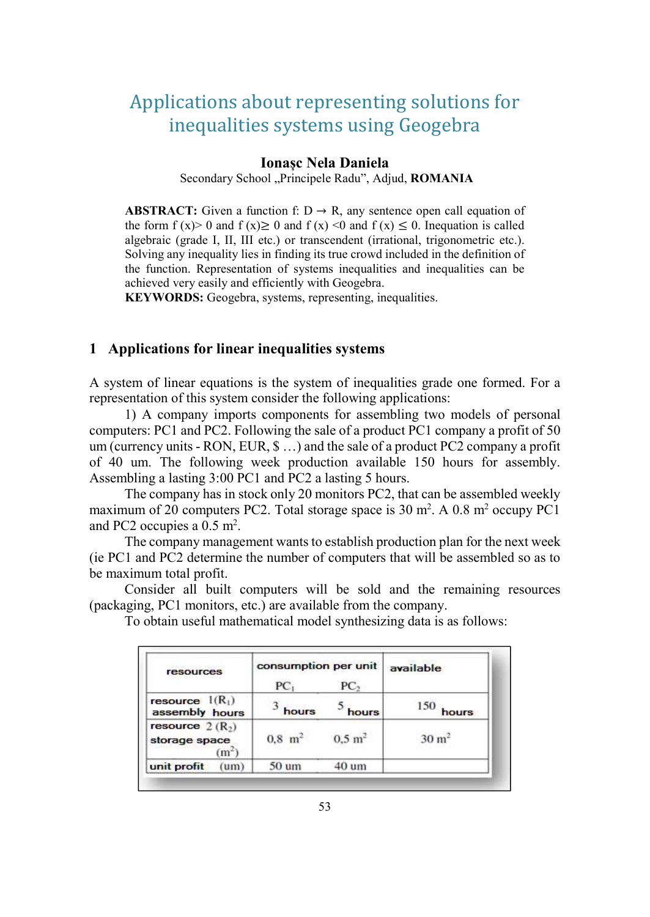# Applications about representing solutions for inequalities systems using Geogebra

#### Ionașc Nela Daniela

Secondary School "Principele Radu", Adjud, ROMANIA

**ABSTRACT:** Given a function f:  $D \rightarrow R$ , any sentence open call equation of the form  $f(x) > 0$  and  $f(x) \ge 0$  and  $f(x) < 0$  and  $f(x) \le 0$ . Inequation is called algebraic (grade I, II, III etc.) or transcendent (irrational, trigonometric etc.). Solving any inequality lies in finding its true crowd included in the definition of the function. Representation of systems inequalities and inequalities can be achieved very easily and efficiently with Geogebra.

KEYWORDS: Geogebra, systems, representing, inequalities.

#### 1 Applications for linear inequalities systems

A system of linear equations is the system of inequalities grade one formed. For a representation of this system consider the following applications:

1) A company imports components for assembling two models of personal computers: PC1 and PC2. Following the sale of a product PC1 company a profit of 50 um (currency units - RON, EUR, \$ …) and the sale of a product PC2 company a profit of 40 um. The following week production available 150 hours for assembly. Assembling a lasting 3:00 PC1 and PC2 a lasting 5 hours.

The company has in stock only 20 monitors PC2, that can be assembled weekly maximum of 20 computers PC2. Total storage space is 30 m<sup>2</sup>. A 0.8 m<sup>2</sup> occupy PC1 and PC2 occupies a 0.5 m<sup>2</sup>.

The company management wants to establish production plan for the next week (ie PC1 and PC2 determine the number of computers that will be assembled so as to be maximum total profit.

Consider all built computers will be sold and the remaining resources (packaging, PC1 monitors, etc.) are available from the company.

To obtain useful mathematical model synthesizing data is as follows:

| resources                                | consumption per unit | available         |                  |  |
|------------------------------------------|----------------------|-------------------|------------------|--|
|                                          | PC <sub>1</sub>      | PC <sub>2</sub>   |                  |  |
| resource $l(R_1)$<br>assembly hours      | $3$ hours            | hours             | 150<br>hours     |  |
| resource $2(R_2)$<br>storage space<br>'m | $0.8 \text{ m}^2$    | $0.5 \text{ m}^2$ | $30 \text{ m}^2$ |  |
| unit profit<br>um)                       | 50 um                | 40 um             |                  |  |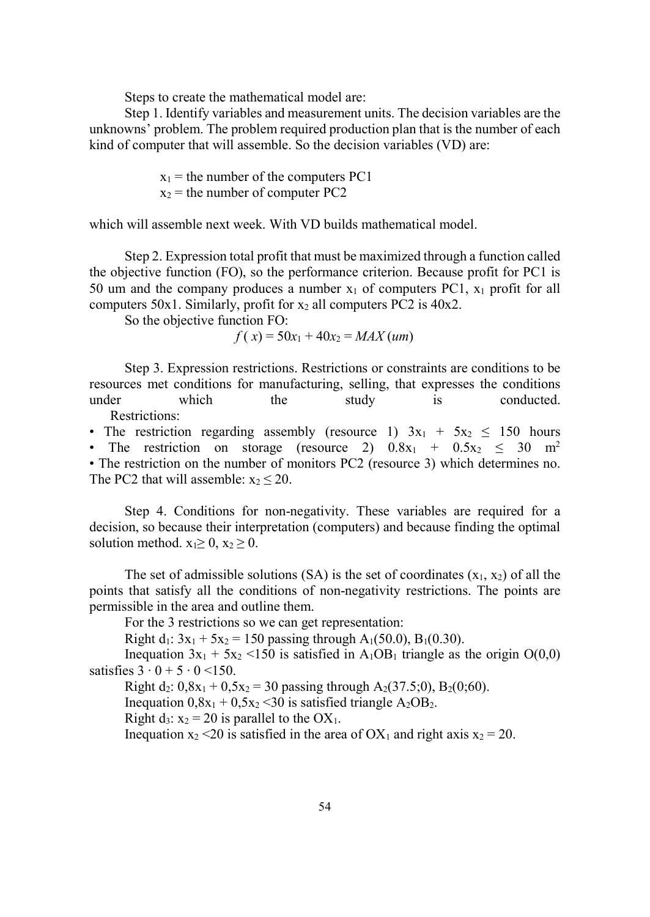Steps to create the mathematical model are:

Step 1. Identify variables and measurement units. The decision variables are the unknowns' problem. The problem required production plan that is the number of each kind of computer that will assemble. So the decision variables (VD) are:

> $x_1$  = the number of the computers PC1  $x_2$  = the number of computer PC2

which will assemble next week. With VD builds mathematical model.

Step 2. Expression total profit that must be maximized through a function called the objective function (FO), so the performance criterion. Because profit for PC1 is 50 um and the company produces a number  $x_1$  of computers PC1,  $x_1$  profit for all computers 50x1. Similarly, profit for  $x_2$  all computers PC2 is 40x2.

So the objective function FO:

$$
f(x) = 50x_1 + 40x_2 = MAX(num)
$$

Step 3. Expression restrictions. Restrictions or constraints are conditions to be resources met conditions for manufacturing, selling, that expresses the conditions under which the study is conducted. Restrictions:

• The restriction regarding assembly (resource 1)  $3x_1 + 5x_2 \le 150$  hours • The restriction on storage (resource 2)  $0.8x_1 + 0.5x_2 < 30$  m<sup>2</sup> • The restriction on the number of monitors PC2 (resource 3) which determines no. The PC2 that will assemble:  $x_2 \le 20$ .

Step 4. Conditions for non-negativity. These variables are required for a decision, so because their interpretation (computers) and because finding the optimal solution method.  $x_1 \geq 0$ ,  $x_2 \geq 0$ .

The set of admissible solutions (SA) is the set of coordinates  $(x_1, x_2)$  of all the points that satisfy all the conditions of non-negativity restrictions. The points are permissible in the area and outline them.

For the 3 restrictions so we can get representation:

Right d<sub>1</sub>:  $3x_1 + 5x_2 = 150$  passing through A<sub>1</sub>(50.0), B<sub>1</sub>(0.30).

Inequation  $3x_1 + 5x_2 \le 150$  is satisfied in A<sub>1</sub>OB<sub>1</sub> triangle as the origin O(0,0) satisfies  $3 \cdot 0 + 5 \cdot 0 \le 150$ .

Right d<sub>2</sub>:  $0.8x_1 + 0.5x_2 = 30$  passing through A<sub>2</sub>(37.5;0), B<sub>2</sub>(0;60).

Inequation  $0.8x_1 + 0.5x_2 \le 30$  is satisfied triangle  $A_2OB_2$ .

Right d<sub>3</sub>:  $x_2 = 20$  is parallel to the OX<sub>1</sub>.

Inequation  $x_2 < 20$  is satisfied in the area of OX<sub>1</sub> and right axis  $x_2 = 20$ .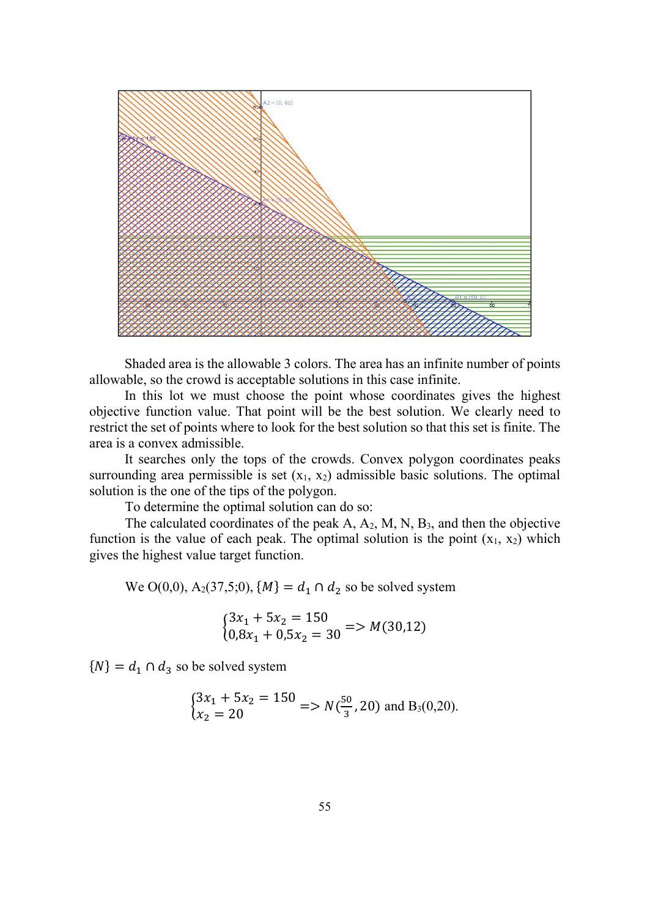

Shaded area is the allowable 3 colors. The area has an infinite number of points allowable, so the crowd is acceptable solutions in this case infinite.

In this lot we must choose the point whose coordinates gives the highest objective function value. That point will be the best solution. We clearly need to restrict the set of points where to look for the best solution so that this set is finite. The area is a convex admissible.

It searches only the tops of the crowds. Convex polygon coordinates peaks surrounding area permissible is set  $(x_1, x_2)$  admissible basic solutions. The optimal solution is the one of the tips of the polygon.

To determine the optimal solution can do so:

The calculated coordinates of the peak A, A2, M, N, B3, and then the objective function is the value of each peak. The optimal solution is the point  $(x_1, x_2)$  which gives the highest value target function.

We O(0,0), A<sub>2</sub>(37,5;0),  $\{M\} = d_1 \cap d_2$  so be solved system

$$
\begin{cases} 3x_1 + 5x_2 = 150 \\ 0.8x_1 + 0.5x_2 = 30 \end{cases} \Longrightarrow M(30,12)
$$

 ${N} = d_1 \cap d_3$  so be solved system

$$
\begin{cases} 3x_1 + 5x_2 = 150 \\ x_2 = 20 \end{cases} \Longrightarrow N(\frac{50}{3}, 20) \text{ and } B_3(0, 20).
$$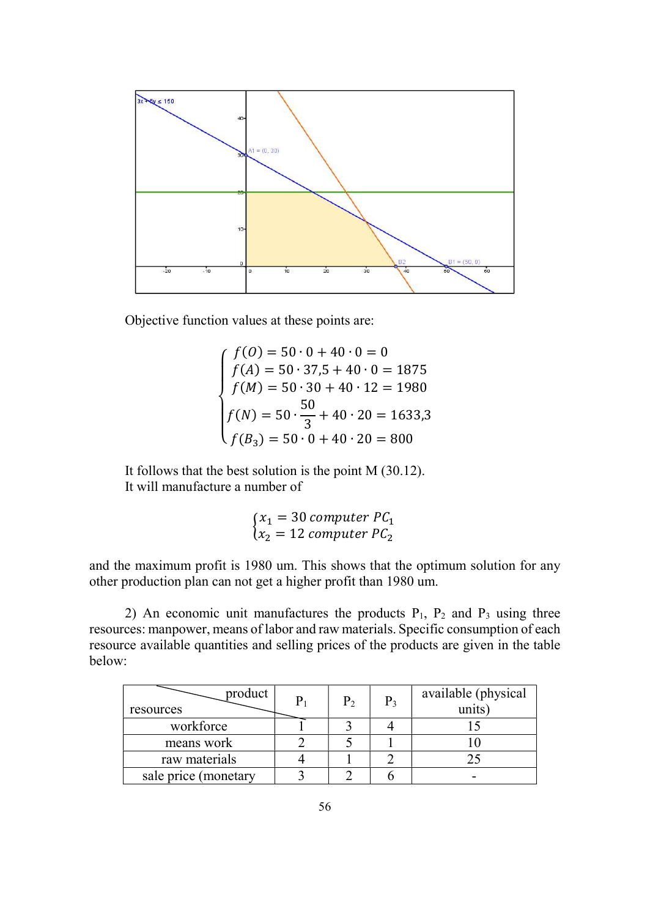

Objective function values at these points are:

 $\overline{A}$  $\vert$  $\mathbf{I}$  $\frac{1}{2}$  $\int_{f(4)}^{f(0)}$  = 50 · 0 + 40 · 0 = 0  $f(A) = 50 \cdot 37.5 + 40 \cdot 0 = 1875$  $f(M) = 50 \cdot 30 + 40 \cdot 12 = 1980$  $f(N) = 50 \cdot \frac{50}{2}$  $\frac{30}{3} + 40 \cdot 20 = 1633,3$  $f(B_3) = 50 \cdot 0 + 40 \cdot 20 = 800$ 

It follows that the best solution is the point M (30.12). It will manufacture a number of

$$
\begin{cases} x_1 = 30 \text{ computer } PC_1 \\ x_2 = 12 \text{ computer } PC_2 \end{cases}
$$

and the maximum profit is 1980 um. This shows that the optimum solution for any other production plan can not get a higher profit than 1980 um.

2) An economic unit manufactures the products  $P_1$ ,  $P_2$  and  $P_3$  using three resources: manpower, means of labor and raw materials. Specific consumption of each resource available quantities and selling prices of the products are given in the table below:

| product<br>resources | P <sub>2</sub> | $P_3$ | available (physical<br>units) |
|----------------------|----------------|-------|-------------------------------|
| workforce            |                |       |                               |
| means work           |                |       |                               |
| raw materials        |                |       |                               |
| sale price (monetary |                |       |                               |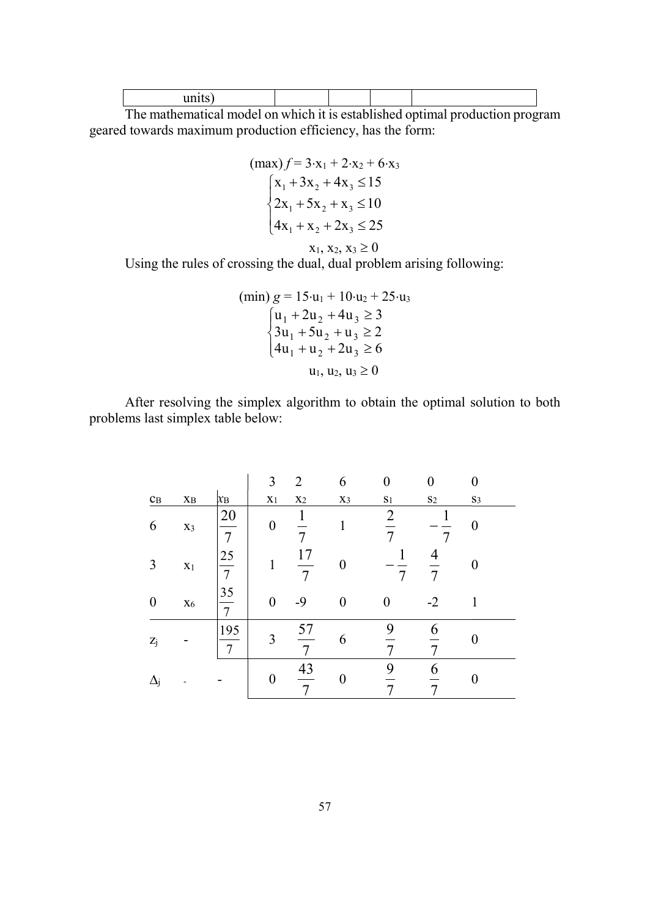The mathematical model on which it is established optimal production program geared towards maximum production efficiency, has the form:

$$
(\max) f = 3 \cdot x_1 + 2 \cdot x_2 + 6 \cdot x_3
$$
  
\n
$$
\begin{cases}\nx_1 + 3x_2 + 4x_3 \le 15 \\
2x_1 + 5x_2 + x_3 \le 10 \\
4x_1 + x_2 + 2x_3 \le 25 \\
x_1, x_2, x_3 \ge 0\n\end{cases}
$$

Using the rules of crossing the dual, dual problem arising following:

$$
\begin{array}{c}\n(\min) \ g = 15 \cdot u_1 + 10 \cdot u_2 + 25 \cdot u_3 \\
\Big\{ u_1 + 2u_2 + 4u_3 \ge 3 \\
3u_1 + 5u_2 + u_3 \ge 2 \\
4u_1 + u_2 + 2u_3 \ge 6 \\
u_1, u_2, u_3 \ge 0\n\end{array}
$$

After resolving the simplex algorithm to obtain the optimal solution to both problems last simplex table below:

|                         |                        |                      | 3              | $\overline{2}$       | 6     | $\theta$       | 0             |       |
|-------------------------|------------------------|----------------------|----------------|----------------------|-------|----------------|---------------|-------|
| $\mathbf{c}_\mathrm{B}$ | $\mathbf{X}\mathbf{B}$ | $x_B$                | X <sub>1</sub> | X <sub>2</sub>       | $X_3$ | S <sub>1</sub> | $\mathbf{S}2$ | $S_3$ |
| 6                       | $X_3$                  | 20<br>$\overline{7}$ | 0              | 7                    |       | $\overline{2}$ |               |       |
| 3                       | X <sub>1</sub>         | $\frac{25}{7}$       |                | 17<br>$\overline{7}$ | 0     |                | 4             |       |
| $\boldsymbol{0}$        | $X_6$                  | $\frac{35}{7}$       | 0              | $-9$                 | 0     | 0              | $-2$          | 1     |
| $\mathbf{Z}_j$          |                        | 195<br>7             | 3              | 57<br>7              | 6     | 9              | 6             |       |
| $\Delta_{\rm i}$        |                        |                      |                | $\frac{43}{7}$       | 0     | 9              | 6             |       |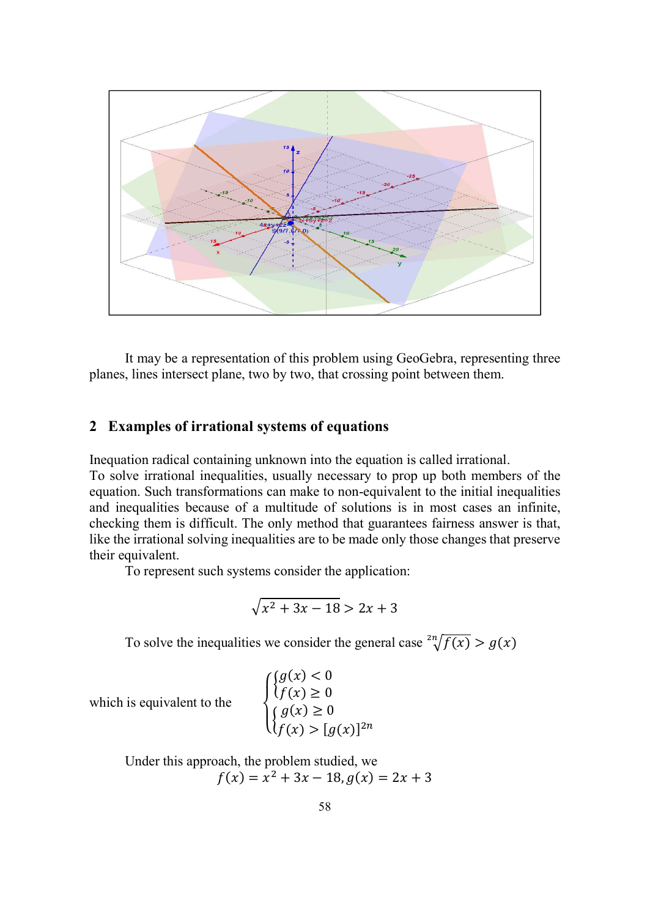

It may be a representation of this problem using GeoGebra, representing three planes, lines intersect plane, two by two, that crossing point between them.

#### 2 Examples of irrational systems of equations

Inequation radical containing unknown into the equation is called irrational.

To solve irrational inequalities, usually necessary to prop up both members of the equation. Such transformations can make to non-equivalent to the initial inequalities and inequalities because of a multitude of solutions is in most cases an infinite, checking them is difficult. The only method that guarantees fairness answer is that, like the irrational solving inequalities are to be made only those changes that preserve their equivalent.

To represent such systems consider the application:

$$
\sqrt{x^2 + 3x - 18} > 2x + 3
$$

To solve the inequalities we consider the general case  $\sqrt[2^n]{f(x)} > g(x)$ 

which is equivalent to the

$$
\begin{cases} \{g(x) < 0 \\ \{f(x) \ge 0 \} \\ \{g(x) \ge 0 \\ \{f(x) > [g(x)]^{2n} \end{cases}
$$

Under this approach, the problem studied, we  $f(x) = x^2 + 3x - 18, g(x) = 2x + 3$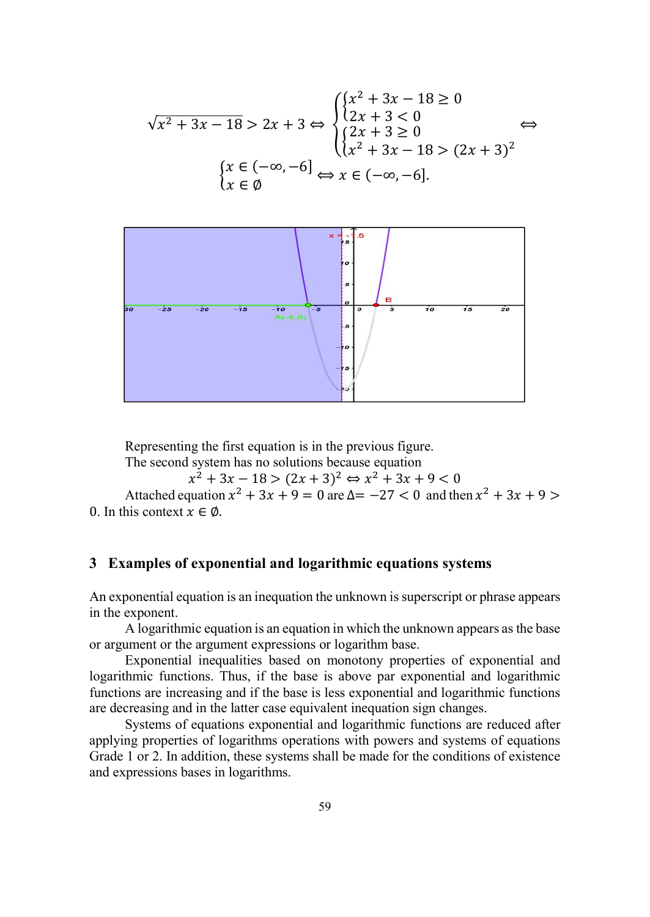$$
\sqrt{x^2 + 3x - 18} > 2x + 3 \Leftrightarrow \begin{cases} \begin{cases} x^2 + 3x - 18 \ge 0 \\ 2x + 3 < 0 \end{cases} \\ \begin{cases} 2x + 3 \ge 0 \\ \begin{cases} 2x + 3 \ge 0 \\ x^2 + 3x - 18 > (2x + 3)^2 \end{cases} \end{cases} \Leftrightarrow
$$

$$
\begin{cases} x \in (-\infty, -6] \\ x \in \emptyset \end{cases} \Leftrightarrow x \in (-\infty, -6].
$$



Representing the first equation is in the previous figure.

The second system has no solutions because equation

 $x^2 + 3x - 18 > (2x + 3)^2 \Leftrightarrow x^2 + 3x + 9 < 0$ 

Attached equation  $x^2 + 3x + 9 = 0$  are  $\Delta = -27 < 0$  and then  $x^2 + 3x + 9 > 0$ 0. In this context  $x \in \emptyset$ .

### 3 Examples of exponential and logarithmic equations systems

An exponential equation is an inequation the unknown is superscript or phrase appears in the exponent.

A logarithmic equation is an equation in which the unknown appears as the base or argument or the argument expressions or logarithm base.

Exponential inequalities based on monotony properties of exponential and logarithmic functions. Thus, if the base is above par exponential and logarithmic functions are increasing and if the base is less exponential and logarithmic functions are decreasing and in the latter case equivalent inequation sign changes.

Systems of equations exponential and logarithmic functions are reduced after applying properties of logarithms operations with powers and systems of equations Grade 1 or 2. In addition, these systems shall be made for the conditions of existence and expressions bases in logarithms.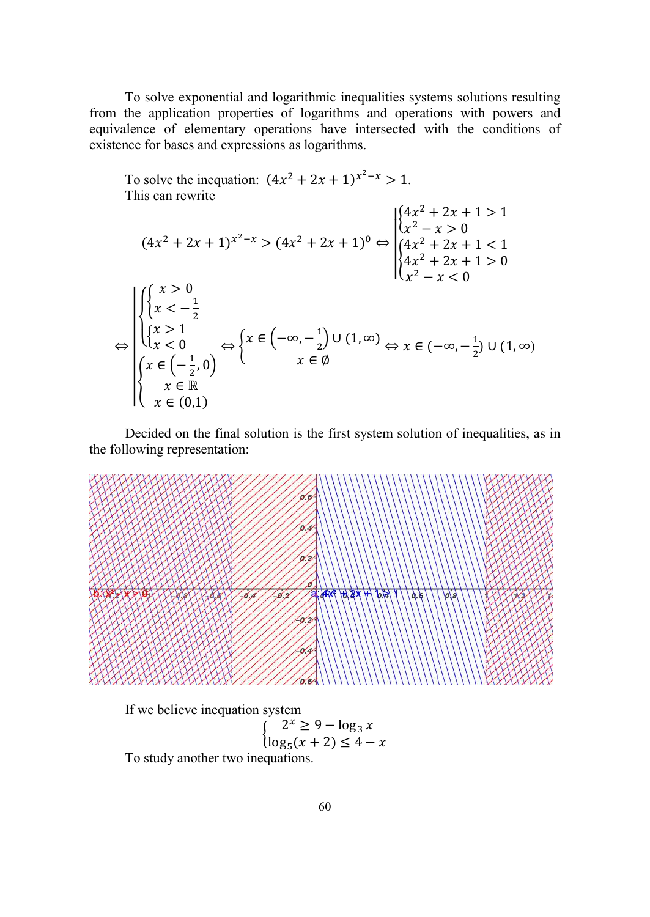To solve exponential and logarithmic inequalities systems solutions resulting from the application properties of logarithms and operations with powers and equivalence of elementary operations have intersected with the conditions of existence for bases and expressions as logarithms.

To solve the inequation:  $(4x^2 + 2x + 1)^{x^2 - x} > 1$ . This can rewrite  $(4x^2 + 2x + 1)^{x^2 - x} > (4x^2 + 2x + 1)^0 \Leftrightarrow$  $\begin{cases} 4x^2 + 2x + 1 > 1 \\ 2 \end{cases}$  $x^2 - x > 0$  $\{ \cdot$  $4x^2 + 2x + 1 < 1$  $4x^2 + 2x + 1 > 0$  $x^2 - x < 0$ ⇔ ተ ተ ተ ە  $\vert$  $\mathcal{R}$  $x > 0$ <br> $x < -\frac{1}{2}$  $\begin{cases} x > 1 \\ y > 0 \end{cases}$  $x > 1$ <br> $x < 0$ ቐ  $x \in \left(-\frac{1}{2}\right)$  $\frac{1}{2}$ , 0)  $x \in \mathbb{R}$  $x \in (0,1)$  $\Leftrightarrow$   $\left\{ x\in\left(-\infty,-\frac{1}{2}\right)\right\}$  $\frac{1}{2}$  U  $(1, \infty)$  $x \in \mathcal{Q}$  $\Leftrightarrow$   $x \in (-\infty, -\frac{1}{2}) \cup (1, \infty)$ 

Decided on the final solution is the first system solution of inequalities, as in the following representation:



If we believe inequation system  $\int_{\log x}^{1} (x + 2) \le 4$  $\log_5(x + 2) \leq 4 - x$ To study another two inequations.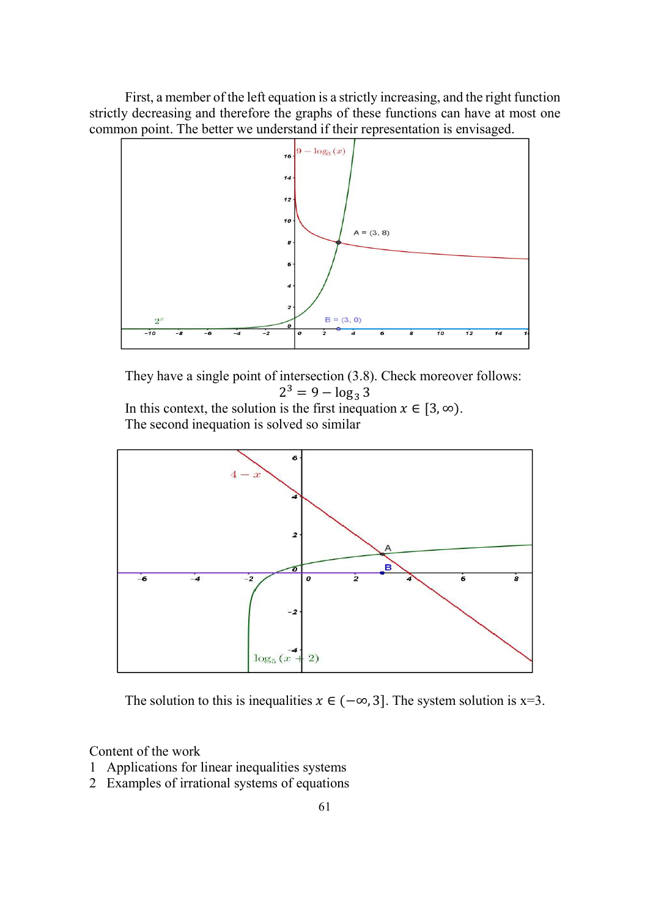First, a member of the left equation is a strictly increasing, and the right function strictly decreasing and therefore the graphs of these functions can have at most one common point. The better we understand if their representation is envisaged.



They have a single point of intersection (3.8). Check moreover follows:  $2^3 = 9 - \log_3 3$ In this context, the solution is the first inequation  $x \in [3,\infty)$ .

The second inequation is solved so similar



The solution to this is inequalities  $x \in (-\infty, 3]$ . The system solution is x=3.

Content of the work

- 1 Applications for linear inequalities systems
- 2 Examples of irrational systems of equations